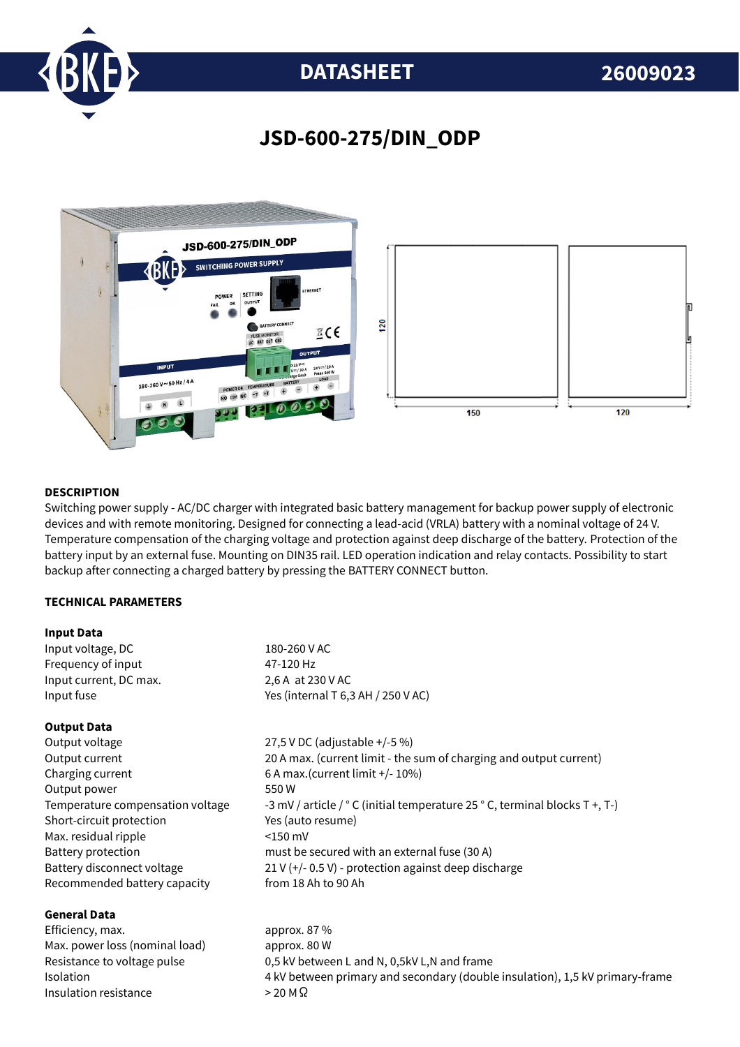

## **DATASHEET 26009023**

## **JSD-600-275/DIN\_ODP**



#### **DESCRIPTION**

Switching power supply - AC/DC charger with integrated basic battery management for backup power supply of electronic devices and with remote monitoring. Designed for connecting a lead-acid (VRLA) battery with a nominal voltage of 24 V. Temperature compensation of the charging voltage and protection against deep discharge of the battery. Protection of the battery input by an external fuse. Mounting on DIN35 rail. LED operation indication and relay contacts. Possibility to start backup after connecting a charged battery by pressing the BATTERY CONNECT button.

#### **TECHNICAL PARAMETERS**

### **Input Data**

| Input voltage, DC      | 180-260 V AC                       |
|------------------------|------------------------------------|
| Frequency of input     | 47-120 Hz                          |
| Input current, DC max. | 2,6 A at 230 V AC                  |
| Input fuse             | Yes (internal T 6,3 AH / 250 V AC) |

### **Output Data**

Output voltage 27,5 V DC (adjustable +/-5 %) Charging current 6 A max.(current limit +/- 10%) Output power 550 W Short-circuit protection Yes (auto resume) Max. residual ripple <150 mV Recommended battery capacity from 18 Ah to 90 Ah

### **General Data**

Efficiency, max. approx. 87 % Max. power loss (nominal load) approx. 80 W Insulation resistance  $>$  20 M  $\Omega$ 

Output current 20 A max. (current limit - the sum of charging and output current) Temperature compensation voltage  $-3$  mV / article /  $\degree$  C (initial temperature 25  $\degree$  C, terminal blocks T +, T-) Battery protection must be secured with an external fuse (30 A) Battery disconnect voltage 21 V (+/- 0.5 V) - protection against deep discharge

Resistance to voltage pulse 0,5 kV between L and N, 0,5kV L,N and frame Isolation 4 kV between primary and secondary (double insulation), 1,5 kV primary-frame